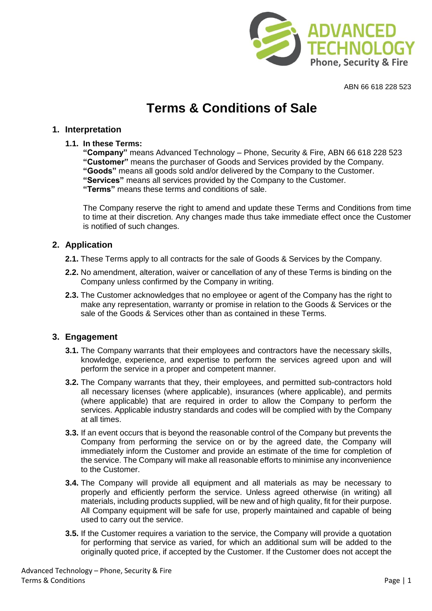

ABN 66 618 228 523

# **Terms & Conditions of Sale**

### **1. Interpretation**

#### **1.1. In these Terms:**

**"Company"** means Advanced Technology – Phone, Security & Fire, ABN 66 618 228 523 **"Customer"** means the purchaser of Goods and Services provided by the Company. **"Goods"** means all goods sold and/or delivered by the Company to the Customer. **"Services"** means all services provided by the Company to the Customer. **"Terms"** means these terms and conditions of sale.

The Company reserve the right to amend and update these Terms and Conditions from time to time at their discretion. Any changes made thus take immediate effect once the Customer is notified of such changes.

## **2. Application**

- **2.1.** These Terms apply to all contracts for the sale of Goods & Services by the Company.
- **2.2.** No amendment, alteration, waiver or cancellation of any of these Terms is binding on the Company unless confirmed by the Company in writing.
- **2.3.** The Customer acknowledges that no employee or agent of the Company has the right to make any representation, warranty or promise in relation to the Goods & Services or the sale of the Goods & Services other than as contained in these Terms.

## **3. Engagement**

- **3.1.** The Company warrants that their employees and contractors have the necessary skills, knowledge, experience, and expertise to perform the services agreed upon and will perform the service in a proper and competent manner.
- **3.2.** The Company warrants that they, their employees, and permitted sub-contractors hold all necessary licenses (where applicable), insurances (where applicable), and permits (where applicable) that are required in order to allow the Company to perform the services. Applicable industry standards and codes will be complied with by the Company at all times.
- **3.3.** If an event occurs that is beyond the reasonable control of the Company but prevents the Company from performing the service on or by the agreed date, the Company will immediately inform the Customer and provide an estimate of the time for completion of the service. The Company will make all reasonable efforts to minimise any inconvenience to the Customer.
- **3.4.** The Company will provide all equipment and all materials as may be necessary to properly and efficiently perform the service. Unless agreed otherwise (in writing) all materials, including products supplied, will be new and of high quality, fit for their purpose. All Company equipment will be safe for use, properly maintained and capable of being used to carry out the service.
- **3.5.** If the Customer requires a variation to the service, the Company will provide a quotation for performing that service as varied, for which an additional sum will be added to the originally quoted price, if accepted by the Customer. If the Customer does not accept the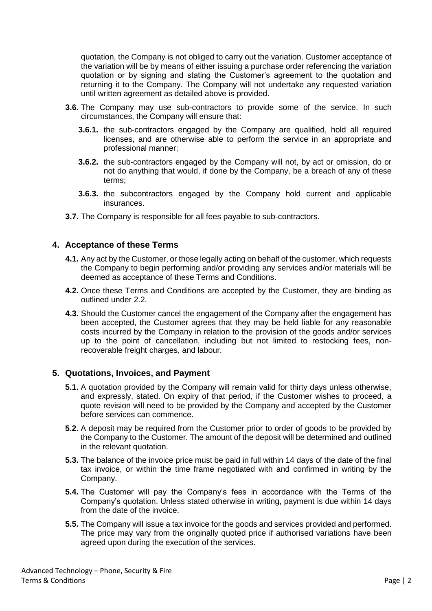quotation, the Company is not obliged to carry out the variation. Customer acceptance of the variation will be by means of either issuing a purchase order referencing the variation quotation or by signing and stating the Customer's agreement to the quotation and returning it to the Company. The Company will not undertake any requested variation until written agreement as detailed above is provided.

- **3.6.** The Company may use sub-contractors to provide some of the service. In such circumstances, the Company will ensure that:
	- **3.6.1.** the sub-contractors engaged by the Company are qualified, hold all required licenses, and are otherwise able to perform the service in an appropriate and professional manner;
	- **3.6.2.** the sub-contractors engaged by the Company will not, by act or omission, do or not do anything that would, if done by the Company, be a breach of any of these terms;
	- **3.6.3.** the subcontractors engaged by the Company hold current and applicable insurances.
- **3.7.** The Company is responsible for all fees payable to sub-contractors.

#### **4. Acceptance of these Terms**

- **4.1.** Any act by the Customer, or those legally acting on behalf of the customer, which requests the Company to begin performing and/or providing any services and/or materials will be deemed as acceptance of these Terms and Conditions.
- **4.2.** Once these Terms and Conditions are accepted by the Customer, they are binding as outlined under 2.2.
- **4.3.** Should the Customer cancel the engagement of the Company after the engagement has been accepted, the Customer agrees that they may be held liable for any reasonable costs incurred by the Company in relation to the provision of the goods and/or services up to the point of cancellation, including but not limited to restocking fees, nonrecoverable freight charges, and labour.

#### **5. Quotations, Invoices, and Payment**

- **5.1.** A quotation provided by the Company will remain valid for thirty days unless otherwise, and expressly, stated. On expiry of that period, if the Customer wishes to proceed, a quote revision will need to be provided by the Company and accepted by the Customer before services can commence.
- **5.2.** A deposit may be required from the Customer prior to order of goods to be provided by the Company to the Customer. The amount of the deposit will be determined and outlined in the relevant quotation.
- **5.3.** The balance of the invoice price must be paid in full within 14 days of the date of the final tax invoice, or within the time frame negotiated with and confirmed in writing by the Company.
- **5.4.** The Customer will pay the Company's fees in accordance with the Terms of the Company's quotation. Unless stated otherwise in writing, payment is due within 14 days from the date of the invoice.
- **5.5.** The Company will issue a tax invoice for the goods and services provided and performed. The price may vary from the originally quoted price if authorised variations have been agreed upon during the execution of the services.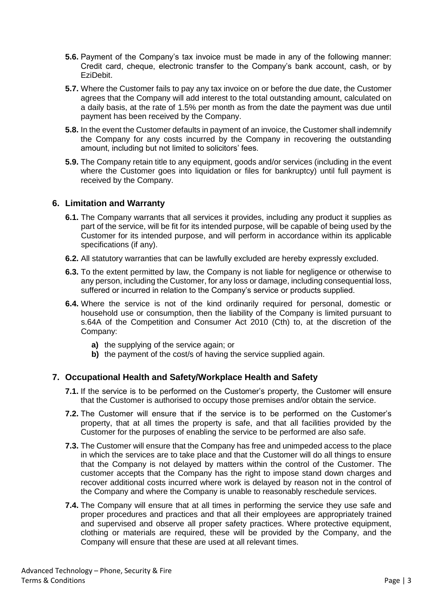- **5.6.** Payment of the Company's tax invoice must be made in any of the following manner: Credit card, cheque, electronic transfer to the Company's bank account, cash, or by EziDebit.
- **5.7.** Where the Customer fails to pay any tax invoice on or before the due date, the Customer agrees that the Company will add interest to the total outstanding amount, calculated on a daily basis, at the rate of 1.5% per month as from the date the payment was due until payment has been received by the Company.
- **5.8.** In the event the Customer defaults in payment of an invoice, the Customer shall indemnify the Company for any costs incurred by the Company in recovering the outstanding amount, including but not limited to solicitors' fees.
- **5.9.** The Company retain title to any equipment, goods and/or services (including in the event where the Customer goes into liquidation or files for bankruptcy) until full payment is received by the Company.

#### **6. Limitation and Warranty**

- **6.1.** The Company warrants that all services it provides, including any product it supplies as part of the service, will be fit for its intended purpose, will be capable of being used by the Customer for its intended purpose, and will perform in accordance within its applicable specifications (if any).
- **6.2.** All statutory warranties that can be lawfully excluded are hereby expressly excluded.
- **6.3.** To the extent permitted by law, the Company is not liable for negligence or otherwise to any person, including the Customer, for any loss or damage, including consequential loss, suffered or incurred in relation to the Company's service or products supplied.
- **6.4.** Where the service is not of the kind ordinarily required for personal, domestic or household use or consumption, then the liability of the Company is limited pursuant to s.64A of the Competition and Consumer Act 2010 (Cth) to, at the discretion of the Company:
	- **a)** the supplying of the service again; or
	- **b)** the payment of the cost/s of having the service supplied again.

## **7. Occupational Health and Safety/Workplace Health and Safety**

- **7.1.** If the service is to be performed on the Customer's property, the Customer will ensure that the Customer is authorised to occupy those premises and/or obtain the service.
- **7.2.** The Customer will ensure that if the service is to be performed on the Customer's property, that at all times the property is safe, and that all facilities provided by the Customer for the purposes of enabling the service to be performed are also safe.
- **7.3.** The Customer will ensure that the Company has free and unimpeded access to the place in which the services are to take place and that the Customer will do all things to ensure that the Company is not delayed by matters within the control of the Customer. The customer accepts that the Company has the right to impose stand down charges and recover additional costs incurred where work is delayed by reason not in the control of the Company and where the Company is unable to reasonably reschedule services.
- **7.4.** The Company will ensure that at all times in performing the service they use safe and proper procedures and practices and that all their employees are appropriately trained and supervised and observe all proper safety practices. Where protective equipment, clothing or materials are required, these will be provided by the Company, and the Company will ensure that these are used at all relevant times.